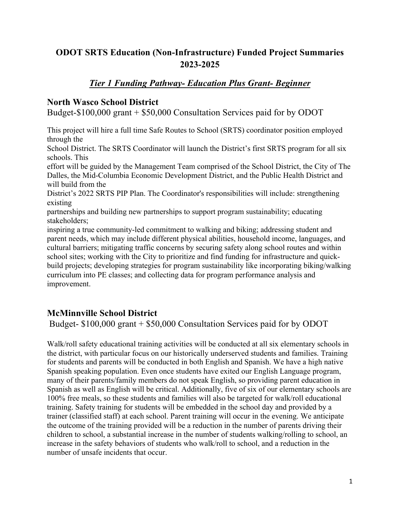# **ODOT SRTS Education (Non-Infrastructure) Funded Project Summaries 2023-2025**

# *Tier 1 Funding Pathway- Education Plus Grant- Beginner*

#### **North Wasco School District**

Budget-\$100,000 grant + \$50,000 Consultation Services paid for by ODOT

This project will hire a full time Safe Routes to School (SRTS) coordinator position employed through the

School District. The SRTS Coordinator will launch the District's first SRTS program for all six schools. This

effort will be guided by the Management Team comprised of the School District, the City of The Dalles, the Mid-Columbia Economic Development District, and the Public Health District and will build from the

District's 2022 SRTS PIP Plan. The Coordinator's responsibilities will include: strengthening existing

partnerships and building new partnerships to support program sustainability; educating stakeholders;

inspiring a true community-led commitment to walking and biking; addressing student and parent needs, which may include different physical abilities, household income, languages, and cultural barriers; mitigating traffic concerns by securing safety along school routes and within school sites; working with the City to prioritize and find funding for infrastructure and quickbuild projects; developing strategies for program sustainability like incorporating biking/walking curriculum into PE classes; and collecting data for program performance analysis and improvement.

## **McMinnville School District**

Budget- \$100,000 grant + \$50,000 Consultation Services paid for by ODOT

Walk/roll safety educational training activities will be conducted at all six elementary schools in the district, with particular focus on our historically underserved students and families. Training for students and parents will be conducted in both English and Spanish. We have a high native Spanish speaking population. Even once students have exited our English Language program, many of their parents/family members do not speak English, so providing parent education in Spanish as well as English will be critical. Additionally, five of six of our elementary schools are 100% free meals, so these students and families will also be targeted for walk/roll educational training. Safety training for students will be embedded in the school day and provided by a trainer (classified staff) at each school. Parent training will occur in the evening. We anticipate the outcome of the training provided will be a reduction in the number of parents driving their children to school, a substantial increase in the number of students walking/rolling to school, an increase in the safety behaviors of students who walk/roll to school, and a reduction in the number of unsafe incidents that occur.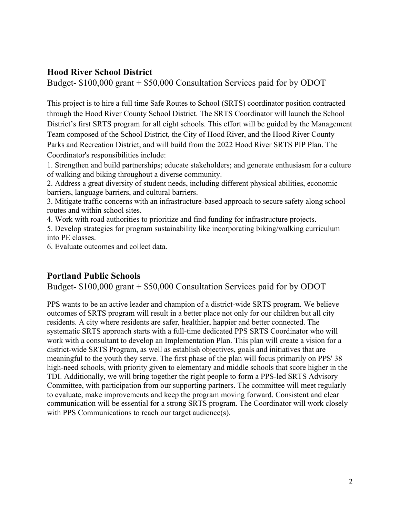#### **Hood River School District**

Budget- \$100,000 grant + \$50,000 Consultation Services paid for by ODOT

This project is to hire a full time Safe Routes to School (SRTS) coordinator position contracted through the Hood River County School District. The SRTS Coordinator will launch the School District's first SRTS program for all eight schools. This effort will be guided by the Management Team composed of the School District, the City of Hood River, and the Hood River County Parks and Recreation District, and will build from the 2022 Hood River SRTS PIP Plan. The Coordinator's responsibilities include:

1. Strengthen and build partnerships; educate stakeholders; and generate enthusiasm for a culture of walking and biking throughout a diverse community.

2. Address a great diversity of student needs, including different physical abilities, economic barriers, language barriers, and cultural barriers.

3. Mitigate traffic concerns with an infrastructure-based approach to secure safety along school routes and within school sites.

4. Work with road authorities to prioritize and find funding for infrastructure projects.

5. Develop strategies for program sustainability like incorporating biking/walking curriculum into PE classes.

6. Evaluate outcomes and collect data.

#### **Portland Public Schools**

Budget- \$100,000 grant + \$50,000 Consultation Services paid for by ODOT

PPS wants to be an active leader and champion of a district-wide SRTS program. We believe outcomes of SRTS program will result in a better place not only for our children but all city residents. A city where residents are safer, healthier, happier and better connected. The systematic SRTS approach starts with a full-time dedicated PPS SRTS Coordinator who will work with a consultant to develop an Implementation Plan. This plan will create a vision for a district-wide SRTS Program, as well as establish objectives, goals and initiatives that are meaningful to the youth they serve. The first phase of the plan will focus primarily on PPS' 38 high-need schools, with priority given to elementary and middle schools that score higher in the TDI. Additionally, we will bring together the right people to form a PPS-led SRTS Advisory Committee, with participation from our supporting partners. The committee will meet regularly to evaluate, make improvements and keep the program moving forward. Consistent and clear communication will be essential for a strong SRTS program. The Coordinator will work closely with PPS Communications to reach our target audience(s).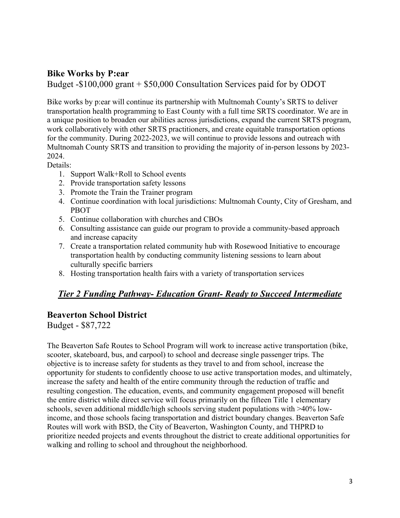## **Bike Works by P:ear**

Budget -\$100,000 grant + \$50,000 Consultation Services paid for by ODOT

Bike works by p:ear will continue its partnership with Multnomah County's SRTS to deliver transportation health programming to East County with a full time SRTS coordinator. We are in a unique position to broaden our abilities across jurisdictions, expand the current SRTS program, work collaboratively with other SRTS practitioners, and create equitable transportation options for the community. During 2022-2023, we will continue to provide lessons and outreach with Multnomah County SRTS and transition to providing the majority of in-person lessons by 2023- 2024.

Details:

- 1. Support Walk+Roll to School events
- 2. Provide transportation safety lessons
- 3. Promote the Train the Trainer program
- 4. Continue coordination with local jurisdictions: Multnomah County, City of Gresham, and PBOT
- 5. Continue collaboration with churches and CBOs
- 6. Consulting assistance can guide our program to provide a community-based approach and increase capacity
- 7. Create a transportation related community hub with Rosewood Initiative to encourage transportation health by conducting community listening sessions to learn about culturally specific barriers
- 8. Hosting transportation health fairs with a variety of transportation services

# *Tier 2 Funding Pathway- Education Grant- Ready to Succeed Intermediate*

## **Beaverton School District**

Budget - \$87,722

The Beaverton Safe Routes to School Program will work to increase active transportation (bike, scooter, skateboard, bus, and carpool) to school and decrease single passenger trips. The objective is to increase safety for students as they travel to and from school, increase the opportunity for students to confidently choose to use active transportation modes, and ultimately, increase the safety and health of the entire community through the reduction of traffic and resulting congestion. The education, events, and community engagement proposed will benefit the entire district while direct service will focus primarily on the fifteen Title 1 elementary schools, seven additional middle/high schools serving student populations with >40% lowincome, and those schools facing transportation and district boundary changes. Beaverton Safe Routes will work with BSD, the City of Beaverton, Washington County, and THPRD to prioritize needed projects and events throughout the district to create additional opportunities for walking and rolling to school and throughout the neighborhood.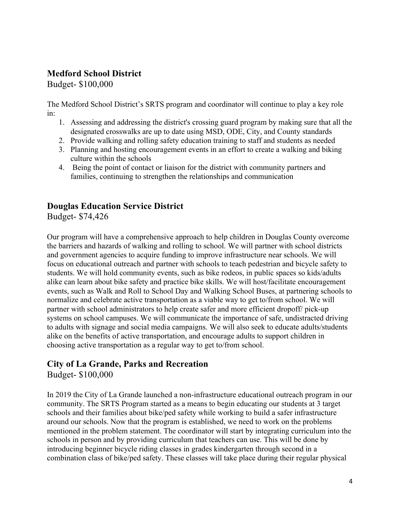# **Medford School District**

Budget- \$100,000

The Medford School District's SRTS program and coordinator will continue to play a key role in:

- 1. Assessing and addressing the district's crossing guard program by making sure that all the designated crosswalks are up to date using MSD, ODE, City, and County standards
- 2. Provide walking and rolling safety education training to staff and students as needed
- 3. Planning and hosting encouragement events in an effort to create a walking and biking culture within the schools
- 4. Being the point of contact or liaison for the district with community partners and families, continuing to strengthen the relationships and communication

### **Douglas Education Service District**

Budget- \$74,426

Our program will have a comprehensive approach to help children in Douglas County overcome the barriers and hazards of walking and rolling to school. We will partner with school districts and government agencies to acquire funding to improve infrastructure near schools. We will focus on educational outreach and partner with schools to teach pedestrian and bicycle safety to students. We will hold community events, such as bike rodeos, in public spaces so kids/adults alike can learn about bike safety and practice bike skills. We will host/facilitate encouragement events, such as Walk and Roll to School Day and Walking School Buses, at partnering schools to normalize and celebrate active transportation as a viable way to get to/from school. We will partner with school administrators to help create safer and more efficient dropoff/ pick-up systems on school campuses. We will communicate the importance of safe, undistracted driving to adults with signage and social media campaigns. We will also seek to educate adults/students alike on the benefits of active transportation, and encourage adults to support children in choosing active transportation as a regular way to get to/from school.

## **City of La Grande, Parks and Recreation**

Budget- \$100,000

In 2019 the City of La Grande launched a non-infrastructure educational outreach program in our community. The SRTS Program started as a means to begin educating our students at 3 target schools and their families about bike/ped safety while working to build a safer infrastructure around our schools. Now that the program is established, we need to work on the problems mentioned in the problem statement. The coordinator will start by integrating curriculum into the schools in person and by providing curriculum that teachers can use. This will be done by introducing beginner bicycle riding classes in grades kindergarten through second in a combination class of bike/ped safety. These classes will take place during their regular physical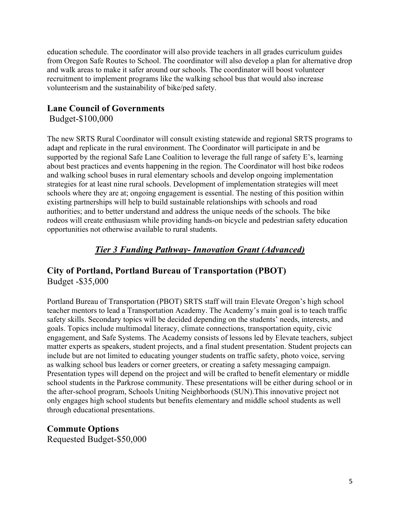education schedule. The coordinator will also provide teachers in all grades curriculum guides from Oregon Safe Routes to School. The coordinator will also develop a plan for alternative drop and walk areas to make it safer around our schools. The coordinator will boost volunteer recruitment to implement programs like the walking school bus that would also increase volunteerism and the sustainability of bike/ped safety.

#### **Lane Council of Governments**

Budget-\$100,000

The new SRTS Rural Coordinator will consult existing statewide and regional SRTS programs to adapt and replicate in the rural environment. The Coordinator will participate in and be supported by the regional Safe Lane Coalition to leverage the full range of safety E's, learning about best practices and events happening in the region. The Coordinator will host bike rodeos and walking school buses in rural elementary schools and develop ongoing implementation strategies for at least nine rural schools. Development of implementation strategies will meet schools where they are at; ongoing engagement is essential. The nesting of this position within existing partnerships will help to build sustainable relationships with schools and road authorities; and to better understand and address the unique needs of the schools. The bike rodeos will create enthusiasm while providing hands-on bicycle and pedestrian safety education opportunities not otherwise available to rural students.

## *Tier 3 Funding Pathway- Innovation Grant (Advanced)*

### **City of Portland, Portland Bureau of Transportation (PBOT)** Budget -\$35,000

Portland Bureau of Transportation (PBOT) SRTS staff will train Elevate Oregon's high school teacher mentors to lead a Transportation Academy. The Academy's main goal is to teach traffic safety skills. Secondary topics will be decided depending on the students' needs, interests, and goals. Topics include multimodal literacy, climate connections, transportation equity, civic engagement, and Safe Systems. The Academy consists of lessons led by Elevate teachers, subject matter experts as speakers, student projects, and a final student presentation. Student projects can include but are not limited to educating younger students on traffic safety, photo voice, serving as walking school bus leaders or corner greeters, or creating a safety messaging campaign. Presentation types will depend on the project and will be crafted to benefit elementary or middle school students in the Parkrose community. These presentations will be either during school or in the after-school program, Schools Uniting Neighborhoods (SUN).This innovative project not only engages high school students but benefits elementary and middle school students as well through educational presentations.

**Commute Options** Requested Budget-\$50,000